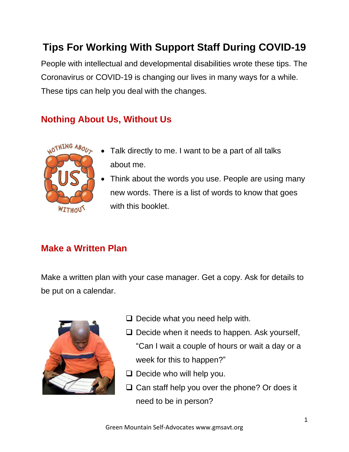# **Tips For Working With Support Staff During COVID-19**

People with intellectual and developmental disabilities wrote these tips. The Coronavirus or COVID-19 is changing our lives in many ways for a while. These tips can help you deal with the changes.

## **Nothing About Us, Without Us**



- Talk directly to me. I want to be a part of all talks about me.
- Think about the words you use. People are using many new words. There is a list of words to know that goes with this booklet.

## **Make a Written Plan**

Make a written plan with your case manager. Get a copy. Ask for details to be put on a calendar.



- ❑ Decide what you need help with.
- $\Box$  Decide when it needs to happen. Ask yourself, "Can I wait a couple of hours or wait a day or a week for this to happen?"
- ❑ Decide who will help you.
- ❑ Can staff help you over the phone? Or does it need to be in person?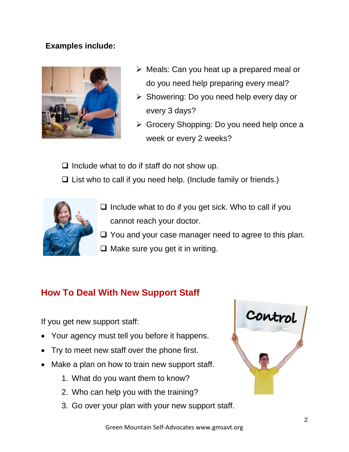#### **Examples include:**



- $\triangleright$  Meals: Can you heat up a prepared meal or do you need help preparing every meal?
- ➢ Showering: Do you need help every day or every 3 days?
- ➢ Grocery Shopping: Do you need help once a week or every 2 weeks?

 $\Box$  Include what to do if staff do not show up.

❑ List who to call if you need help. (Include family or friends.)



- ❑ Include what to do if you get sick. Who to call if you cannot reach your doctor.
- ❑ You and your case manager need to agree to this plan.
- ❑ Make sure you get it in writing.

## **How To Deal With New Support Staff**

If you get new support staff:

- Your agency must tell you before it happens.
- Try to meet new staff over the phone first.
- Make a plan on how to train new support staff.
	- 1. What do you want them to know?
	- 2. Who can help you with the training?
	- 3. Go over your plan with your new support staff.

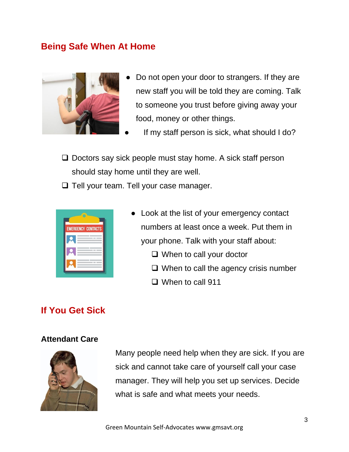### **Being Safe When At Home**



- Do not open your door to strangers. If they are new staff you will be told they are coming. Talk to someone you trust before giving away your food, money or other things.
- If my staff person is sick, what should I do?
- ❑ Doctors say sick people must stay home. A sick staff person should stay home until they are well.
- ❑ Tell your team. Tell your case manager.



- Look at the list of your emergency contact numbers at least once a week. Put them in your phone. Talk with your staff about:
	- ❑ When to call your doctor
	- ❑ When to call the agency crisis number
	- ❑ When to call 911

#### **If You Get Sick**

#### **Attendant Care**



Many people need help when they are sick. If you are sick and cannot take care of yourself call your case manager. They will help you set up services. Decide what is safe and what meets your needs.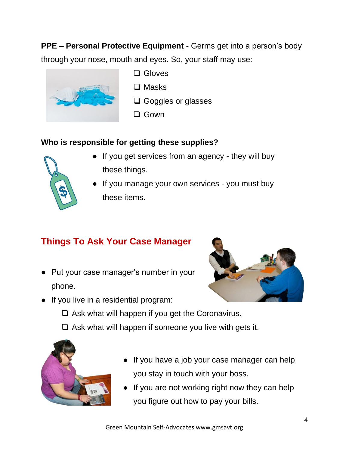**PPE – Personal Protective Equipment -** Germs get into a person's body

through your nose, mouth and eyes. So, your staff may use:



- ❑ Gloves
- ❑ Masks
- ❑ Goggles or glasses
- ❑ Gown

## **Who is responsible for getting these supplies?**



- If you get services from an agency they will buy these things.
- If you manage your own services you must buy these items.

# **Things To Ask Your Case Manager**

● Put your case manager's number in your phone.



- If you live in a residential program:
	- $\Box$  Ask what will happen if you get the Coronavirus.
	- $\Box$  Ask what will happen if someone you live with gets it.



- If you have a job your case manager can help you stay in touch with your boss.
- If you are not working right now they can help you figure out how to pay your bills.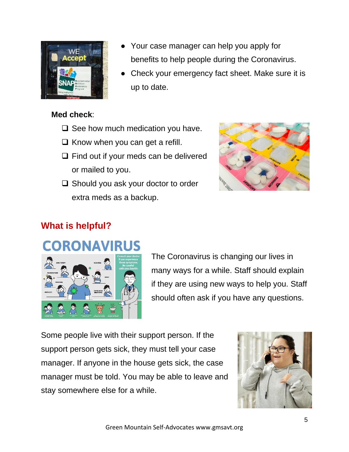

# Your case manager can help you apply for benefits to help people during the Coronavirus.

Check your emergency fact sheet. Make sure it is up to date.

#### **Med check**:

- $\Box$  See how much medication you have.
- ❑ Know when you can get a refill.
- ❑ Find out if your meds can be delivered or mailed to you.
- ❑ Should you ask your doctor to order extra meds as a backup.



# **What is helpful?**

# **CORONAVIRUS**



The Coronavirus is changing our lives in many ways for a while. Staff should explain if they are using new ways to help you. Staff should often ask if you have any questions.

Some people live with their support person. If the support person gets sick, they must tell your case manager. If anyone in the house gets sick, the case manager must be told. You may be able to leave and stay somewhere else for a while.

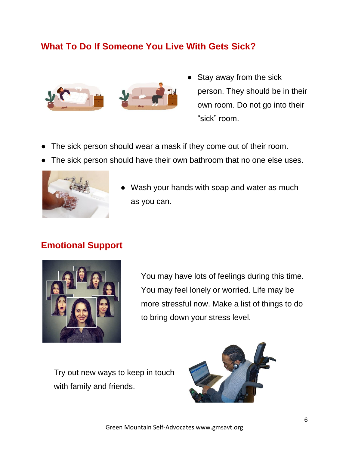## **What To Do If Someone You Live With Gets Sick?**



- Stay away from the sick person. They should be in their own room. Do not go into their "sick" room.
- The sick person should wear a mask if they come out of their room.
- The sick person should have their own bathroom that no one else uses.



Wash your hands with soap and water as much as you can.

## **Emotional Support**



You may have lots of feelings during this time. You may feel lonely or worried. Life may be more stressful now. Make a list of things to do to bring down your stress level.

Try out new ways to keep in touch with family and friends.

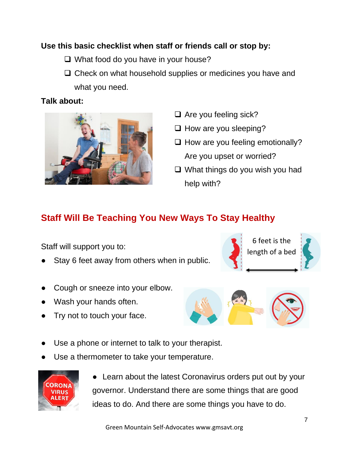#### **Use this basic checklist when staff or friends call or stop by:**

- ❑ What food do you have in your house?
- □ Check on what household supplies or medicines you have and what you need.

#### **Talk about:**



- ❑ Are you feeling sick?
- ❑ How are you sleeping?
- ❑ How are you feeling emotionally? Are you upset or worried?
- ❑ What things do you wish you had help with?

## **Staff Will Be Teaching You New Ways To Stay Healthy**

Staff will support you to:

- Stay 6 feet away from others when in public.
- Cough or sneeze into your elbow.
- Wash your hands often.
- Try not to touch your face.





- Use a phone or internet to talk to your therapist.
- Use a thermometer to take your temperature.



• Learn about the latest Coronavirus orders put out by your governor. Understand there are some things that are good ideas to do. And there are some things you have to do.